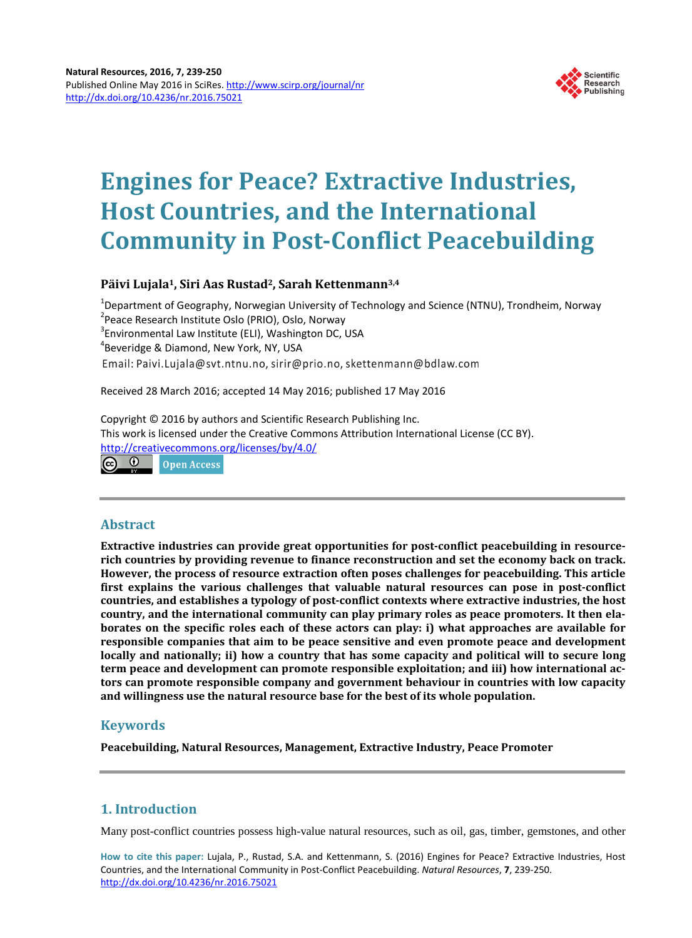

# **Engines for Peace? Extractive Industries, Host Countries, and the International Community in Post-Conflict Peacebuilding**

# **Päivi Lujala1, Siri Aas Rustad2, Sarah Kettenmann3,4**

<sup>1</sup>Department of Geography, Norwegian University of Technology and Science (NTNU), Trondheim, Norway<br><sup>2</sup>Dease Besearsh Institute Oclo (PRIO), Oslo, Narvay <sup>2</sup> Peace Research Institute Oslo (PRIO), Oslo, Norway  $3$ Environmental Law Institute (ELI), Washington DC, USA  $48$  $4$ Beveridge & Diamond, New York, NY, USA Email: Paivi.Lujala@svt.ntnu.no, sirir@prio.no, skettenmann@bdlaw.com

Received 28 March 2016; accepted 14 May 2016; published 17 May 2016

Copyright © 2016 by authors and Scientific Research Publishing Inc. This work is licensed under the Creative Commons Attribution International License (CC BY). <http://creativecommons.org/licenses/by/4.0/> <u>ල 0</u> Open Access

**Abstract Extractive industries can provide great opportunities for post-conflict peacebuilding in resourcerich countries by providing revenue to finance reconstruction and set the economy back on track. However, the process of resource extraction often poses challenges for peacebuilding. This article first explains the various challenges that valuable natural resources can pose in post-conflict countries, and establishes a typology of post-conflict contexts where extractive industries, the host country, and the international community can play primary roles as peace promoters. It then elaborates on the specific roles each of these actors can play: i) what approaches are available for responsible companies that aim to be peace sensitive and even promote peace and development locally and nationally; ii) how a country that has some capacity and political will to secure long term peace and development can promote responsible exploitation; and iii) how international actors can promote responsible company and government behaviour in countries with low capacity and willingness use the natural resource base for the best of its whole population.**

# **Keywords**

**Peacebuilding, Natural Resources, Management, Extractive Industry, Peace Promoter**

# **1. Introduction**

Many post-conflict countries possess high-value natural resources, such as oil, gas, timber, gemstones, and other

**How to cite this paper:** Lujala, P., Rustad, S.A. and Kettenmann, S. (2016) Engines for Peace? Extractive Industries, Host Countries, and the International Community in Post-Conflict Peacebuilding. *Natural Resources*, **7**, 239-250. <http://dx.doi.org/10.4236/nr.2016.75021>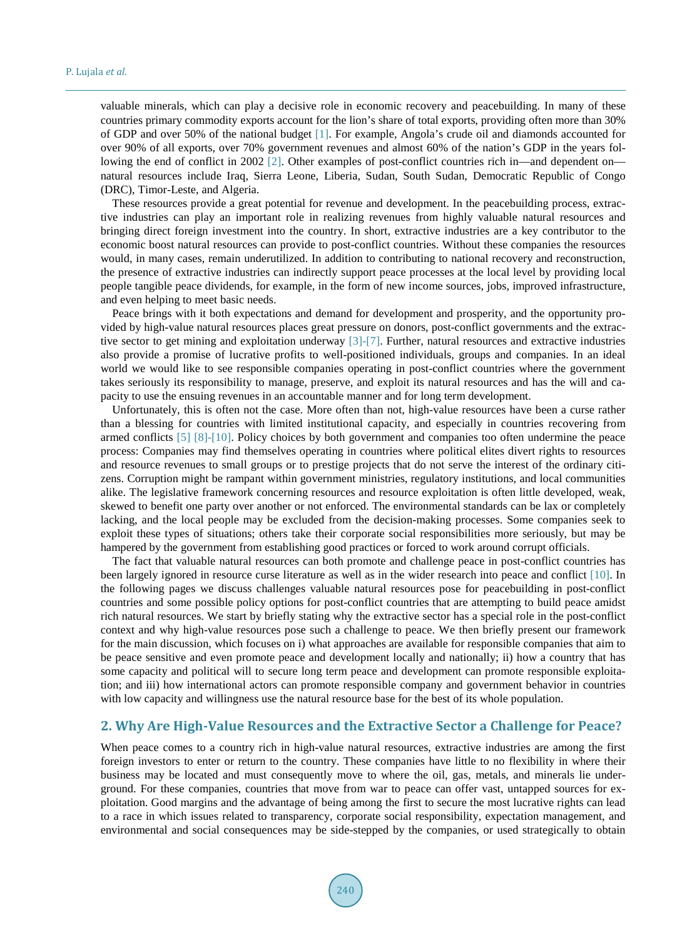valuable minerals, which can play a decisive role in economic recovery and peacebuilding. In many of these countries primary commodity exports account for the lion's share of total exports, providing often more than 30% of GDP and over 50% of the national budget [\[1\].](#page-9-0) For example, Angola's crude oil and diamonds accounted for over 90% of all exports, over 70% government revenues and almost 60% of the nation's GDP in the years fol-lowing the end of conflict in 2002 [\[2\].](#page-9-1) Other examples of post-conflict countries rich in—and dependent on natural resources include Iraq, Sierra Leone, Liberia, Sudan, South Sudan, Democratic Republic of Congo (DRC), Timor-Leste, and Algeria.

These resources provide a great potential for revenue and development. In the peacebuilding process, extractive industries can play an important role in realizing revenues from highly valuable natural resources and bringing direct foreign investment into the country. In short, extractive industries are a key contributor to the economic boost natural resources can provide to post-conflict countries. Without these companies the resources would, in many cases, remain underutilized. In addition to contributing to national recovery and reconstruction, the presence of extractive industries can indirectly support peace processes at the local level by providing local people tangible peace dividends, for example, in the form of new income sources, jobs, improved infrastructure, and even helping to meet basic needs.

Peace brings with it both expectations and demand for development and prosperity, and the opportunity provided by high-value natural resources places great pressure on donors, post-conflict governments and the extractive sector to get mining and exploitation underway [\[3\]](#page-9-2)[-\[7\].](#page-9-3) Further, natural resources and extractive industries also provide a promise of lucrative profits to well-positioned individuals, groups and companies. In an ideal world we would like to see responsible companies operating in post-conflict countries where the government takes seriously its responsibility to manage, preserve, and exploit its natural resources and has the will and capacity to use the ensuing revenues in an accountable manner and for long term development.

Unfortunately, this is often not the case. More often than not, high-value resources have been a curse rather than a blessing for countries with limited institutional capacity, and especially in countries recovering from armed conflicts [\[5\]](#page-9-4) [\[8\]](#page-9-5)[-\[10\].](#page-9-6) Policy choices by both government and companies too often undermine the peace process: Companies may find themselves operating in countries where political elites divert rights to resources and resource revenues to small groups or to prestige projects that do not serve the interest of the ordinary citizens. Corruption might be rampant within government ministries, regulatory institutions, and local communities alike. The legislative framework concerning resources and resource exploitation is often little developed, weak, skewed to benefit one party over another or not enforced. The environmental standards can be lax or completely lacking, and the local people may be excluded from the decision-making processes. Some companies seek to exploit these types of situations; others take their corporate social responsibilities more seriously, but may be hampered by the government from establishing good practices or forced to work around corrupt officials.

The fact that valuable natural resources can both promote and challenge peace in post-conflict countries has been largely ignored in resource curse literature as well as in the wider research into peace and conflict [\[10\].](#page-9-6) In the following pages we discuss challenges valuable natural resources pose for peacebuilding in post-conflict countries and some possible policy options for post-conflict countries that are attempting to build peace amidst rich natural resources. We start by briefly stating why the extractive sector has a special role in the post-conflict context and why high-value resources pose such a challenge to peace. We then briefly present our framework for the main discussion, which focuses on i) what approaches are available for responsible companies that aim to be peace sensitive and even promote peace and development locally and nationally; ii) how a country that has some capacity and political will to secure long term peace and development can promote responsible exploitation; and iii) how international actors can promote responsible company and government behavior in countries with low capacity and willingness use the natural resource base for the best of its whole population.

#### **2. Why Are High-Value Resources and the Extractive Sector a Challenge for Peace?**

When peace comes to a country rich in high-value natural resources, extractive industries are among the first foreign investors to enter or return to the country. These companies have little to no flexibility in where their business may be located and must consequently move to where the oil, gas, metals, and minerals lie underground. For these companies, countries that move from war to peace can offer vast, untapped sources for exploitation. Good margins and the advantage of being among the first to secure the most lucrative rights can lead to a race in which issues related to transparency, corporate social responsibility, expectation management, and environmental and social consequences may be side-stepped by the companies, or used strategically to obtain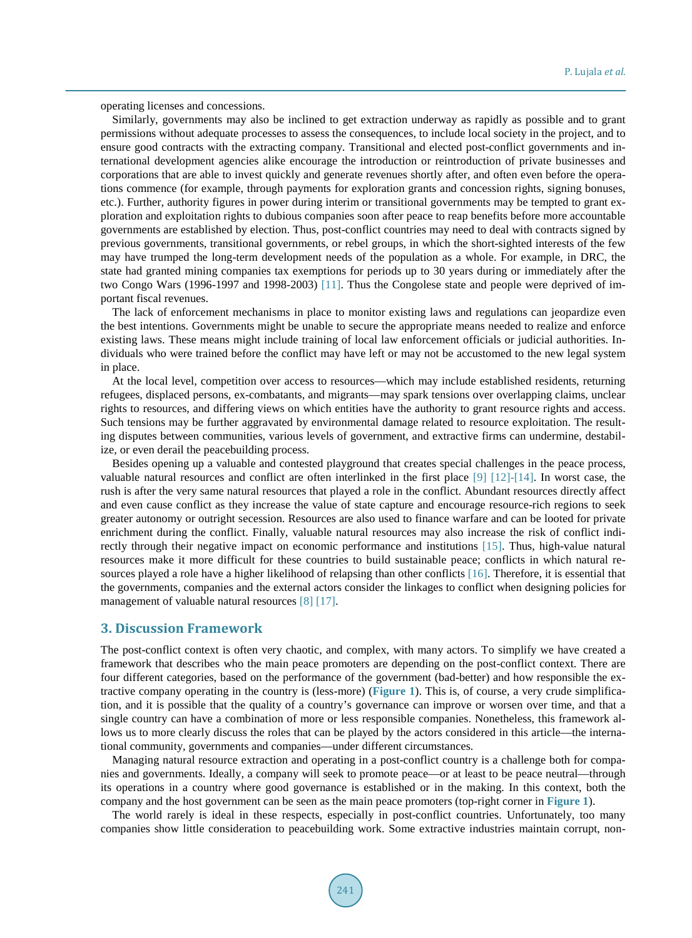operating licenses and concessions.

Similarly, governments may also be inclined to get extraction underway as rapidly as possible and to grant permissions without adequate processes to assess the consequences, to include local society in the project, and to ensure good contracts with the extracting company. Transitional and elected post-conflict governments and international development agencies alike encourage the introduction or reintroduction of private businesses and corporations that are able to invest quickly and generate revenues shortly after, and often even before the operations commence (for example, through payments for exploration grants and concession rights, signing bonuses, etc.). Further, authority figures in power during interim or transitional governments may be tempted to grant exploration and exploitation rights to dubious companies soon after peace to reap benefits before more accountable governments are established by election. Thus, post-conflict countries may need to deal with contracts signed by previous governments, transitional governments, or rebel groups, in which the short-sighted interests of the few may have trumped the long-term development needs of the population as a whole. For example, in DRC, the state had granted mining companies tax exemptions for periods up to 30 years during or immediately after the two Congo Wars (1996-1997 and 1998-2003) [\[11\].](#page-9-7) Thus the Congolese state and people were deprived of important fiscal revenues.

The lack of enforcement mechanisms in place to monitor existing laws and regulations can jeopardize even the best intentions. Governments might be unable to secure the appropriate means needed to realize and enforce existing laws. These means might include training of local law enforcement officials or judicial authorities. Individuals who were trained before the conflict may have left or may not be accustomed to the new legal system in place.

At the local level, competition over access to resources—which may include established residents, returning refugees, displaced persons, ex-combatants, and migrants—may spark tensions over overlapping claims, unclear rights to resources, and differing views on which entities have the authority to grant resource rights and access. Such tensions may be further aggravated by environmental damage related to resource exploitation. The resulting disputes between communities, various levels of government, and extractive firms can undermine, destabilize, or even derail the peacebuilding process.

Besides opening up a valuable and contested playground that creates special challenges in the peace process, valuable natural resources and conflict are often interlinked in the first place [\[9\]](#page-9-8) [\[12\]](#page-9-9)[-\[14\].](#page-10-0) In worst case, the rush is after the very same natural resources that played a role in the conflict. Abundant resources directly affect and even cause conflict as they increase the value of state capture and encourage resource-rich regions to seek greater autonomy or outright secession. Resources are also used to finance warfare and can be looted for private enrichment during the conflict. Finally, valuable natural resources may also increase the risk of conflict indirectly through their negative impact on economic performance and institutions [\[15\].](#page-10-1) Thus, high-value natural resources make it more difficult for these countries to build sustainable peace; conflicts in which natural resources played a role have a higher likelihood of relapsing than other conflicts [\[16\].](#page-10-2) Therefore, it is essential that the governments, companies and the external actors consider the linkages to conflict when designing policies for management of valuable natural resources [\[8\]](#page-9-5) [\[17\].](#page-10-3)

#### **3. Discussion Framework**

The post-conflict context is often very chaotic, and complex, with many actors. To simplify we have created a framework that describes who the main peace promoters are depending on the post-conflict context. There are four different categories, based on the performance of the government (bad-better) and how responsible the extractive company operating in the country is (less-more) (**[Figure 1](#page-3-0)**). This is, of course, a very crude simplification, and it is possible that the quality of a country's governance can improve or worsen over time, and that a single country can have a combination of more or less responsible companies. Nonetheless, this framework allows us to more clearly discuss the roles that can be played by the actors considered in this article—the international community, governments and companies—under different circumstances.

Managing natural resource extraction and operating in a post-conflict country is a challenge both for companies and governments. Ideally, a company will seek to promote peace—or at least to be peace neutral—through its operations in a country where good governance is established or in the making. In this context, both the company and the host government can be seen as the main peace promoters (top-right corner in **[Figure 1](#page-3-0)**).

The world rarely is ideal in these respects, especially in post-conflict countries. Unfortunately, too many companies show little consideration to peacebuilding work. Some extractive industries maintain corrupt, non-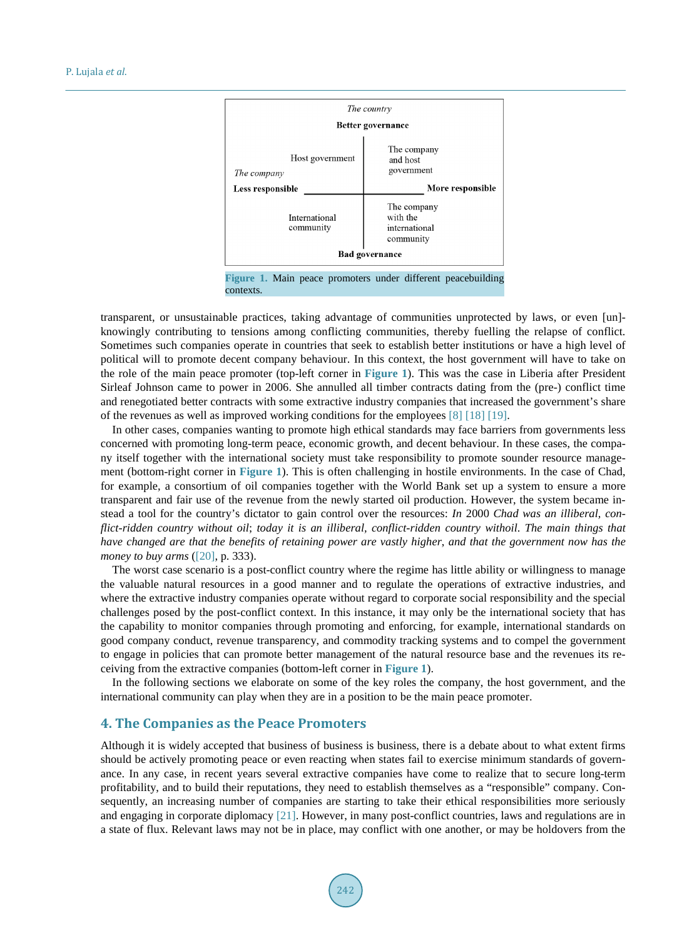<span id="page-3-0"></span>

contexts.

transparent, or unsustainable practices, taking advantage of communities unprotected by laws, or even [un] knowingly contributing to tensions among conflicting communities, thereby fuelling the relapse of conflict. Sometimes such companies operate in countries that seek to establish better institutions or have a high level of political will to promote decent company behaviour. In this context, the host government will have to take on the role of the main peace promoter (top-left corner in **[Figure 1](#page-3-0)**). This was the case in Liberia after President Sirleaf Johnson came to power in 2006. She annulled all timber contracts dating from the (pre-) conflict time and renegotiated better contracts with some extractive industry companies that increased the government's share of the revenues as well as improved working conditions for the employees [\[8\]](#page-9-5) [\[18\]](#page-10-4) [\[19\].](#page-10-5)

In other cases, companies wanting to promote high ethical standards may face barriers from governments less concerned with promoting long-term peace, economic growth, and decent behaviour. In these cases, the company itself together with the international society must take responsibility to promote sounder resource management (bottom-right corner in **[Figure 1](#page-3-0)**). This is often challenging in hostile environments. In the case of Chad, for example, a consortium of oil companies together with the World Bank set up a system to ensure a more transparent and fair use of the revenue from the newly started oil production. However, the system became instead a tool for the country's dictator to gain control over the resources: *In* 2000 *Chad was an illiberal, conflict-ridden country without oil*; *today it is an illiberal, conflict-ridden country withoil*. *The main things that have changed are that the benefits of retaining power are vastly higher*, *and that the government now has the money to buy arms* [\(\[20\],](#page-10-6) p. 333).

The worst case scenario is a post-conflict country where the regime has little ability or willingness to manage the valuable natural resources in a good manner and to regulate the operations of extractive industries, and where the extractive industry companies operate without regard to corporate social responsibility and the special challenges posed by the post-conflict context. In this instance, it may only be the international society that has the capability to monitor companies through promoting and enforcing, for example, international standards on good company conduct, revenue transparency, and commodity tracking systems and to compel the government to engage in policies that can promote better management of the natural resource base and the revenues its receiving from the extractive companies (bottom-left corner in **[Figure 1](#page-3-0)**).

In the following sections we elaborate on some of the key roles the company, the host government, and the international community can play when they are in a position to be the main peace promoter.

# **4. The Companies as the Peace Promoters**

Although it is widely accepted that business of business is business, there is a debate about to what extent firms should be actively promoting peace or even reacting when states fail to exercise minimum standards of governance. In any case, in recent years several extractive companies have come to realize that to secure long-term profitability, and to build their reputations, they need to establish themselves as a "responsible" company. Consequently, an increasing number of companies are starting to take their ethical responsibilities more seriously and engaging in corporate diplomacy [\[21\].](#page-10-7) However, in many post-conflict countries, laws and regulations are in a state of flux. Relevant laws may not be in place, may conflict with one another, or may be holdovers from the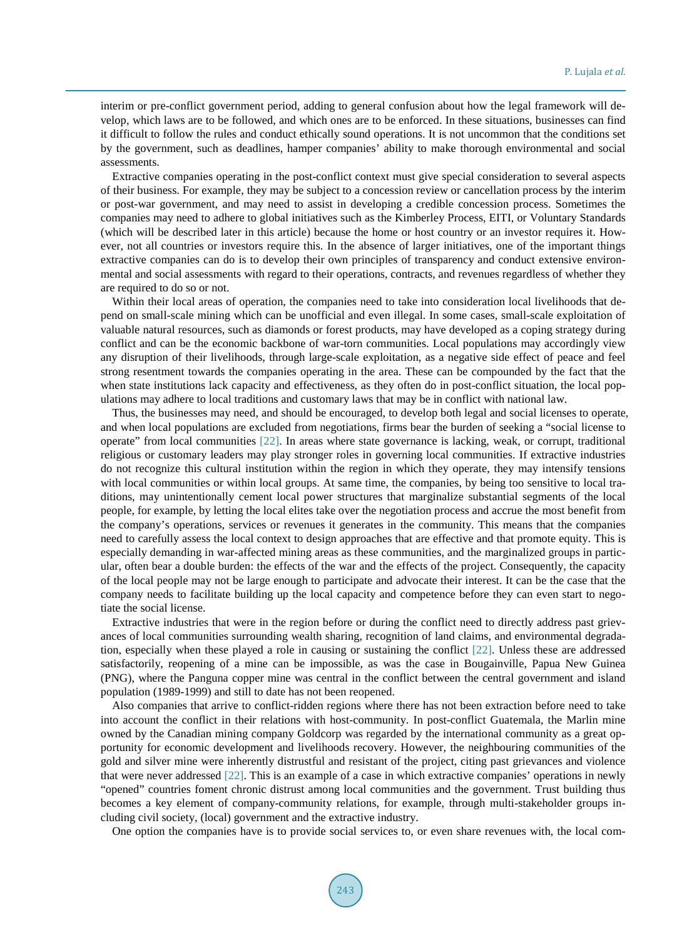interim or pre-conflict government period, adding to general confusion about how the legal framework will develop, which laws are to be followed, and which ones are to be enforced. In these situations, businesses can find it difficult to follow the rules and conduct ethically sound operations. It is not uncommon that the conditions set by the government, such as deadlines, hamper companies' ability to make thorough environmental and social assessments.

Extractive companies operating in the post-conflict context must give special consideration to several aspects of their business. For example, they may be subject to a concession review or cancellation process by the interim or post-war government, and may need to assist in developing a credible concession process. Sometimes the companies may need to adhere to global initiatives such as the Kimberley Process, EITI, or Voluntary Standards (which will be described later in this article) because the home or host country or an investor requires it. However, not all countries or investors require this. In the absence of larger initiatives, one of the important things extractive companies can do is to develop their own principles of transparency and conduct extensive environmental and social assessments with regard to their operations, contracts, and revenues regardless of whether they are required to do so or not.

Within their local areas of operation, the companies need to take into consideration local livelihoods that depend on small-scale mining which can be unofficial and even illegal. In some cases, small-scale exploitation of valuable natural resources, such as diamonds or forest products, may have developed as a coping strategy during conflict and can be the economic backbone of war-torn communities. Local populations may accordingly view any disruption of their livelihoods, through large-scale exploitation, as a negative side effect of peace and feel strong resentment towards the companies operating in the area. These can be compounded by the fact that the when state institutions lack capacity and effectiveness, as they often do in post-conflict situation, the local populations may adhere to local traditions and customary laws that may be in conflict with national law.

Thus, the businesses may need, and should be encouraged, to develop both legal and social licenses to operate, and when local populations are excluded from negotiations, firms bear the burden of seeking a "social license to operate" from local communities [\[22\].](#page-10-8) In areas where state governance is lacking, weak, or corrupt, traditional religious or customary leaders may play stronger roles in governing local communities. If extractive industries do not recognize this cultural institution within the region in which they operate, they may intensify tensions with local communities or within local groups. At same time, the companies, by being too sensitive to local traditions, may unintentionally cement local power structures that marginalize substantial segments of the local people, for example, by letting the local elites take over the negotiation process and accrue the most benefit from the company's operations, services or revenues it generates in the community. This means that the companies need to carefully assess the local context to design approaches that are effective and that promote equity. This is especially demanding in war-affected mining areas as these communities, and the marginalized groups in particular, often bear a double burden: the effects of the war and the effects of the project. Consequently, the capacity of the local people may not be large enough to participate and advocate their interest. It can be the case that the company needs to facilitate building up the local capacity and competence before they can even start to negotiate the social license.

Extractive industries that were in the region before or during the conflict need to directly address past grievances of local communities surrounding wealth sharing, recognition of land claims, and environmental degradation, especially when these played a role in causing or sustaining the conflict [\[22\].](#page-10-8) Unless these are addressed satisfactorily, reopening of a mine can be impossible, as was the case in Bougainville, Papua New Guinea (PNG), where the Panguna copper mine was central in the conflict between the central government and island population (1989-1999) and still to date has not been reopened.

Also companies that arrive to conflict-ridden regions where there has not been extraction before need to take into account the conflict in their relations with host-community. In post-conflict Guatemala, the Marlin mine owned by the Canadian mining company Goldcorp was regarded by the international community as a great opportunity for economic development and livelihoods recovery. However, the neighbouring communities of the gold and silver mine were inherently distrustful and resistant of the project, citing past grievances and violence that were never addressed [\[22\].](#page-10-8) This is an example of a case in which extractive companies' operations in newly "opened" countries foment chronic distrust among local communities and the government. Trust building thus becomes a key element of company-community relations, for example, through multi-stakeholder groups including civil society, (local) government and the extractive industry.

One option the companies have is to provide social services to, or even share revenues with, the local com-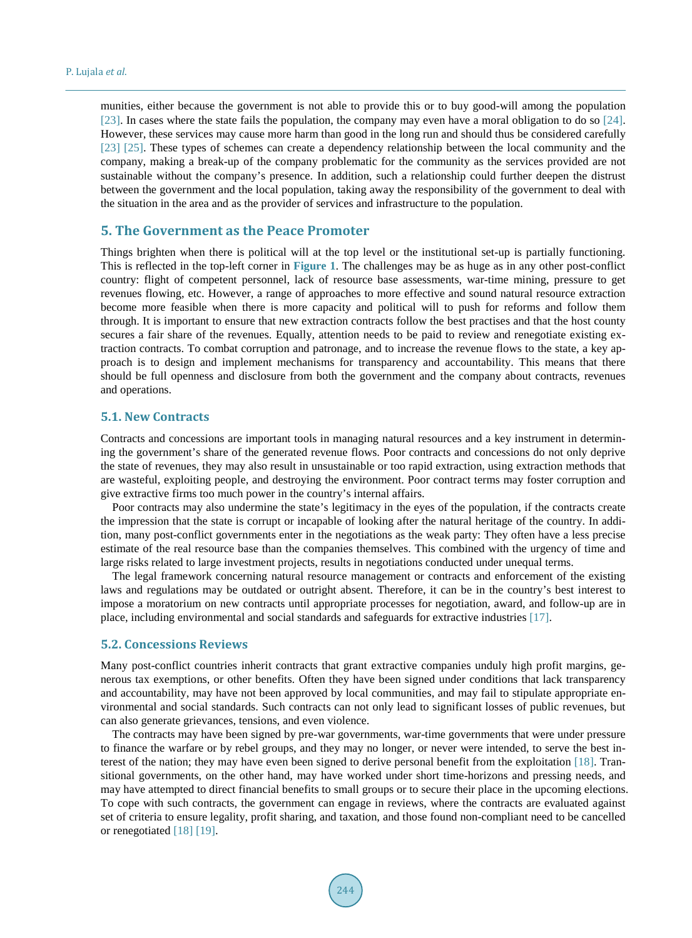munities, either because the government is not able to provide this or to buy good-will among the population [\[23\].](#page-10-9) In cases where the state fails the population, the company may even have a moral obligation to do so [\[24\].](#page-10-10) However, these services may cause more harm than good in the long run and should thus be considered carefully [\[23\]](#page-10-9) [\[25\].](#page-10-11) These types of schemes can create a dependency relationship between the local community and the company, making a break-up of the company problematic for the community as the services provided are not sustainable without the company's presence. In addition, such a relationship could further deepen the distrust between the government and the local population, taking away the responsibility of the government to deal with the situation in the area and as the provider of services and infrastructure to the population.

#### **5. The Government as the Peace Promoter**

Things brighten when there is political will at the top level or the institutional set-up is partially functioning. This is reflected in the top-left corner in **[Figure](#page-3-0) 1**. The challenges may be as huge as in any other post-conflict country: flight of competent personnel, lack of resource base assessments, war-time mining, pressure to get revenues flowing, etc. However, a range of approaches to more effective and sound natural resource extraction become more feasible when there is more capacity and political will to push for reforms and follow them through. It is important to ensure that new extraction contracts follow the best practises and that the host county secures a fair share of the revenues. Equally, attention needs to be paid to review and renegotiate existing extraction contracts. To combat corruption and patronage, and to increase the revenue flows to the state, a key approach is to design and implement mechanisms for transparency and accountability. This means that there should be full openness and disclosure from both the government and the company about contracts, revenues and operations.

# **5.1. New Contracts**

Contracts and concessions are important tools in managing natural resources and a key instrument in determining the government's share of the generated revenue flows. Poor contracts and concessions do not only deprive the state of revenues, they may also result in unsustainable or too rapid extraction, using extraction methods that are wasteful, exploiting people, and destroying the environment. Poor contract terms may foster corruption and give extractive firms too much power in the country's internal affairs.

Poor contracts may also undermine the state's legitimacy in the eyes of the population, if the contracts create the impression that the state is corrupt or incapable of looking after the natural heritage of the country. In addition, many post-conflict governments enter in the negotiations as the weak party: They often have a less precise estimate of the real resource base than the companies themselves. This combined with the urgency of time and large risks related to large investment projects, results in negotiations conducted under unequal terms.

The legal framework concerning natural resource management or contracts and enforcement of the existing laws and regulations may be outdated or outright absent. Therefore, it can be in the country's best interest to impose a moratorium on new contracts until appropriate processes for negotiation, award, and follow-up are in place, including environmental and social standards and safeguards for extractive industries [\[17\].](#page-10-3)

#### **5.2. Concessions Reviews**

Many post-conflict countries inherit contracts that grant extractive companies unduly high profit margins, generous tax exemptions, or other benefits. Often they have been signed under conditions that lack transparency and accountability, may have not been approved by local communities, and may fail to stipulate appropriate environmental and social standards. Such contracts can not only lead to significant losses of public revenues, but can also generate grievances, tensions, and even violence.

The contracts may have been signed by pre-war governments, war-time governments that were under pressure to finance the warfare or by rebel groups, and they may no longer, or never were intended, to serve the best interest of the nation; they may have even been signed to derive personal benefit from the exploitation [\[18\].](#page-10-4) Transitional governments, on the other hand, may have worked under short time-horizons and pressing needs, and may have attempted to direct financial benefits to small groups or to secure their place in the upcoming elections. To cope with such contracts, the government can engage in reviews, where the contracts are evaluated against set of criteria to ensure legality, profit sharing, and taxation, and those found non-compliant need to be cancelled or renegotiated [\[18\]](#page-10-4) [\[19\].](#page-10-5)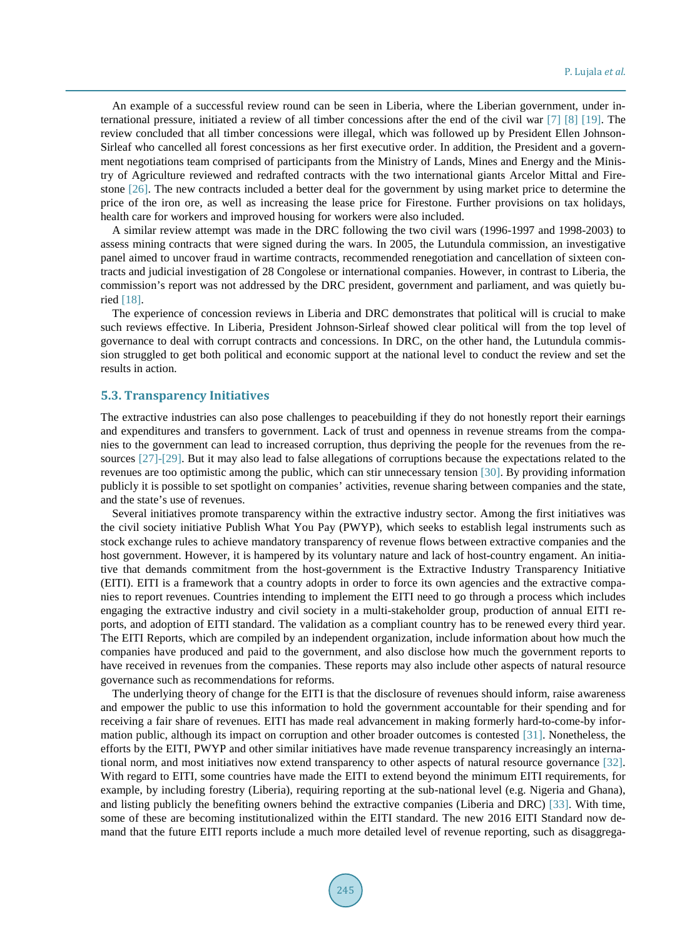An example of a successful review round can be seen in Liberia, where the Liberian government, under international pressure, initiated a review of all timber concessions after the end of the civil war [\[7\]](#page-9-3) [\[8\]](#page-9-5) [\[19\].](#page-10-5) The review concluded that all timber concessions were illegal, which was followed up by President Ellen Johnson-Sirleaf who cancelled all forest concessions as her first executive order. In addition, the President and a government negotiations team comprised of participants from the Ministry of Lands, Mines and Energy and the Ministry of Agriculture reviewed and redrafted contracts with the two international giants Arcelor Mittal and Firestone [\[26\].](#page-10-12) The new contracts included a better deal for the government by using market price to determine the price of the iron ore, as well as increasing the lease price for Firestone. Further provisions on tax holidays, health care for workers and improved housing for workers were also included.

A similar review attempt was made in the DRC following the two civil wars (1996-1997 and 1998-2003) to assess mining contracts that were signed during the wars. In 2005, the Lutundula commission, an investigative panel aimed to uncover fraud in wartime contracts, recommended renegotiation and cancellation of sixteen contracts and judicial investigation of 28 Congolese or international companies. However, in contrast to Liberia, the commission's report was not addressed by the DRC president, government and parliament, and was quietly buried [\[18\].](#page-10-4) 

The experience of concession reviews in Liberia and DRC demonstrates that political will is crucial to make such reviews effective. In Liberia, President Johnson-Sirleaf showed clear political will from the top level of governance to deal with corrupt contracts and concessions. In DRC, on the other hand, the Lutundula commission struggled to get both political and economic support at the national level to conduct the review and set the results in action.

#### **5.3. Transparency Initiatives**

The extractive industries can also pose challenges to peacebuilding if they do not honestly report their earnings and expenditures and transfers to government. Lack of trust and openness in revenue streams from the companies to the government can lead to increased corruption, thus depriving the people for the revenues from the resources [\[27\]](#page-10-13)[-\[29\].](#page-10-14) But it may also lead to false allegations of corruptions because the expectations related to the revenues are too optimistic among the public, which can stir unnecessary tension [\[30\].](#page-10-15) By providing information publicly it is possible to set spotlight on companies' activities, revenue sharing between companies and the state, and the state's use of revenues.

Several initiatives promote transparency within the extractive industry sector. Among the first initiatives was the civil society initiative Publish What You Pay (PWYP), which seeks to establish legal instruments such as stock exchange rules to achieve mandatory transparency of revenue flows between extractive companies and the host government. However, it is hampered by its voluntary nature and lack of host-country engament. An initiative that demands commitment from the host-government is the Extractive Industry Transparency Initiative (EITI). EITI is a framework that a country adopts in order to force its own agencies and the extractive companies to report revenues. Countries intending to implement the EITI need to go through a process which includes engaging the extractive industry and civil society in a multi-stakeholder group, production of annual EITI reports, and adoption of EITI standard. The validation as a compliant country has to be renewed every third year. The EITI Reports, which are compiled by an independent organization, include information about how much the companies have produced and paid to the government, and also disclose how much the government reports to have received in revenues from the companies. These reports may also include other aspects of natural resource governance such as recommendations for reforms.

The underlying theory of change for the EITI is that the disclosure of revenues should inform, raise awareness and empower the public to use this information to hold the government accountable for their spending and for receiving a fair share of revenues. EITI has made real advancement in making formerly hard-to-come-by information public, although its impact on corruption and other broader outcomes is contested [\[31\].](#page-10-16) Nonetheless, the efforts by the EITI, PWYP and other similar initiatives have made revenue transparency increasingly an international norm, and most initiatives now extend transparency to other aspects of natural resource governance [\[32\].](#page-10-17) With regard to EITI, some countries have made the EITI to extend beyond the minimum EITI requirements, for example, by including forestry (Liberia), requiring reporting at the sub-national level (e.g. Nigeria and Ghana), and listing publicly the benefiting owners behind the extractive companies (Liberia and DRC) [\[33\].](#page-10-18) With time, some of these are becoming institutionalized within the EITI standard. The new 2016 EITI Standard now demand that the future EITI reports include a much more detailed level of revenue reporting, such as disaggrega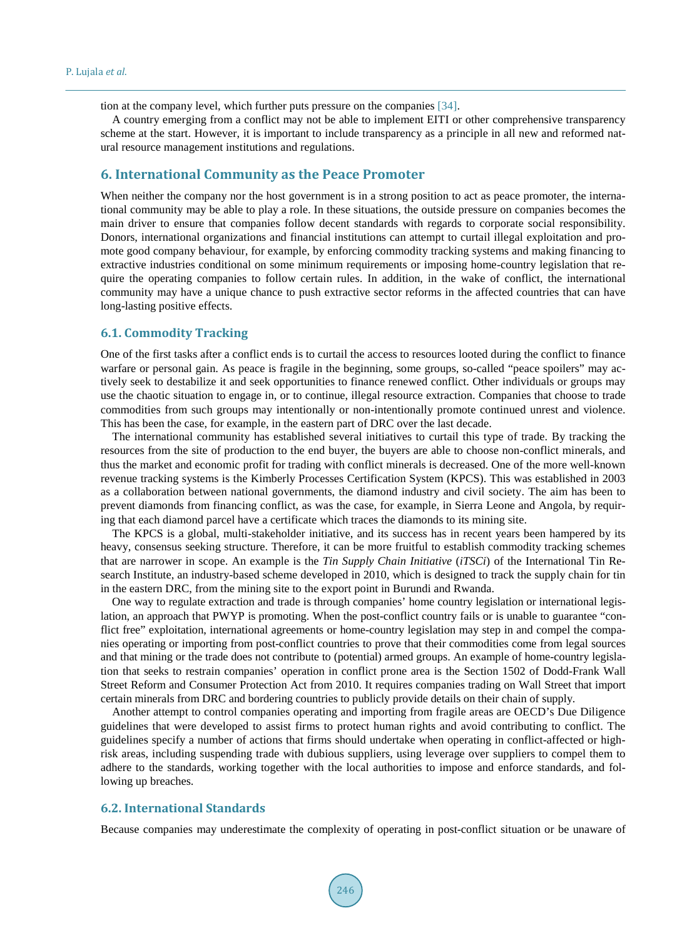tion at the company level, which further puts pressure on the companies [\[34\].](#page-10-19)

A country emerging from a conflict may not be able to implement EITI or other comprehensive transparency scheme at the start. However, it is important to include transparency as a principle in all new and reformed natural resource management institutions and regulations.

#### **6. International Community as the Peace Promoter**

When neither the company nor the host government is in a strong position to act as peace promoter, the international community may be able to play a role. In these situations, the outside pressure on companies becomes the main driver to ensure that companies follow decent standards with regards to corporate social responsibility. Donors, international organizations and financial institutions can attempt to curtail illegal exploitation and promote good company behaviour, for example, by enforcing commodity tracking systems and making financing to extractive industries conditional on some minimum requirements or imposing home-country legislation that require the operating companies to follow certain rules. In addition, in the wake of conflict, the international community may have a unique chance to push extractive sector reforms in the affected countries that can have long-lasting positive effects.

#### **6.1. Commodity Tracking**

One of the first tasks after a conflict ends is to curtail the access to resources looted during the conflict to finance warfare or personal gain. As peace is fragile in the beginning, some groups, so-called "peace spoilers" may actively seek to destabilize it and seek opportunities to finance renewed conflict. Other individuals or groups may use the chaotic situation to engage in, or to continue, illegal resource extraction. Companies that choose to trade commodities from such groups may intentionally or non-intentionally promote continued unrest and violence. This has been the case, for example, in the eastern part of DRC over the last decade.

The international community has established several initiatives to curtail this type of trade. By tracking the resources from the site of production to the end buyer, the buyers are able to choose non-conflict minerals, and thus the market and economic profit for trading with conflict minerals is decreased. One of the more well-known revenue tracking systems is the Kimberly Processes Certification System (KPCS). This was established in 2003 as a collaboration between national governments, the diamond industry and civil society. The aim has been to prevent diamonds from financing conflict, as was the case, for example, in Sierra Leone and Angola, by requiring that each diamond parcel have a certificate which traces the diamonds to its mining site.

The KPCS is a global, multi-stakeholder initiative, and its success has in recent years been hampered by its heavy, consensus seeking structure. Therefore, it can be more fruitful to establish commodity tracking schemes that are narrower in scope. An example is the *Tin Supply Chain Initiative* (*iTSCi*) of the International Tin Research Institute, an industry-based scheme developed in 2010, which is designed to track the supply chain for tin in the eastern DRC, from the mining site to the export point in Burundi and Rwanda.

One way to regulate extraction and trade is through companies' home country legislation or international legislation, an approach that PWYP is promoting. When the post-conflict country fails or is unable to guarantee "conflict free" exploitation, international agreements or home-country legislation may step in and compel the companies operating or importing from post-conflict countries to prove that their commodities come from legal sources and that mining or the trade does not contribute to (potential) armed groups. An example of home-country legislation that seeks to restrain companies' operation in conflict prone area is the Section 1502 of Dodd-Frank Wall Street Reform and Consumer Protection Act from 2010. It requires companies trading on Wall Street that import certain minerals from DRC and bordering countries to publicly provide details on their chain of supply.

Another attempt to control companies operating and importing from fragile areas are OECD's Due Diligence guidelines that were developed to assist firms to protect human rights and avoid contributing to conflict. The guidelines specify a number of actions that firms should undertake when operating in conflict-affected or highrisk areas, including suspending trade with dubious suppliers, using leverage over suppliers to compel them to adhere to the standards, working together with the local authorities to impose and enforce standards, and following up breaches.

#### **6.2. International Standards**

Because companies may underestimate the complexity of operating in post-conflict situation or be unaware of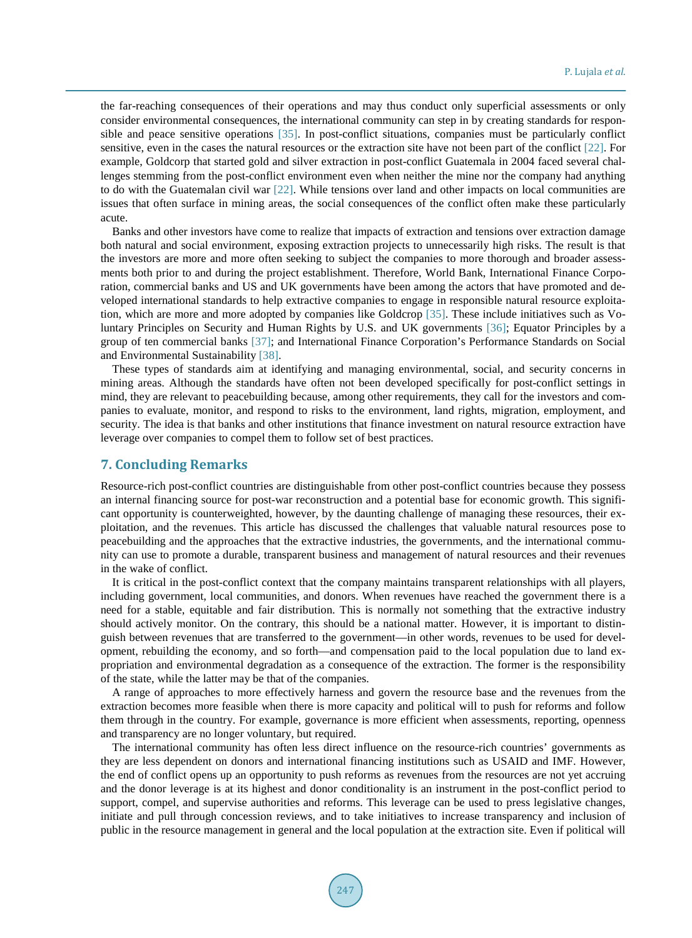the far-reaching consequences of their operations and may thus conduct only superficial assessments or only consider environmental consequences, the international community can step in by creating standards for responsible and peace sensitive operations [\[35\].](#page-11-0) In post-conflict situations, companies must be particularly conflict sensitive, even in the cases the natural resources or the extraction site have not been part of the conflict [\[22\].](#page-10-8) For example, Goldcorp that started gold and silver extraction in post-conflict Guatemala in 2004 faced several challenges stemming from the post-conflict environment even when neither the mine nor the company had anything to do with the Guatemalan civil war [\[22\].](#page-10-8) While tensions over land and other impacts on local communities are issues that often surface in mining areas, the social consequences of the conflict often make these particularly acute.

Banks and other investors have come to realize that impacts of extraction and tensions over extraction damage both natural and social environment, exposing extraction projects to unnecessarily high risks. The result is that the investors are more and more often seeking to subject the companies to more thorough and broader assessments both prior to and during the project establishment. Therefore, World Bank, International Finance Corporation, commercial banks and US and UK governments have been among the actors that have promoted and developed international standards to help extractive companies to engage in responsible natural resource exploitation, which are more and more adopted by companies like Goldcrop [\[35\].](#page-11-0) These include initiatives such as Voluntary Principles on Security and Human Rights by U.S. and UK governments [\[36\];](#page-11-1) Equator Principles by a group of ten commercial banks [\[37\];](#page-11-2) and International Finance Corporation's Performance Standards on Social and Environmental Sustainability [\[38\].](#page-11-3)

These types of standards aim at identifying and managing environmental, social, and security concerns in mining areas. Although the standards have often not been developed specifically for post-conflict settings in mind, they are relevant to peacebuilding because, among other requirements, they call for the investors and companies to evaluate, monitor, and respond to risks to the environment, land rights, migration, employment, and security. The idea is that banks and other institutions that finance investment on natural resource extraction have leverage over companies to compel them to follow set of best practices.

# **7. Concluding Remarks**

Resource-rich post-conflict countries are distinguishable from other post-conflict countries because they possess an internal financing source for post-war reconstruction and a potential base for economic growth. This significant opportunity is counterweighted, however, by the daunting challenge of managing these resources, their exploitation, and the revenues. This article has discussed the challenges that valuable natural resources pose to peacebuilding and the approaches that the extractive industries, the governments, and the international community can use to promote a durable, transparent business and management of natural resources and their revenues in the wake of conflict.

It is critical in the post-conflict context that the company maintains transparent relationships with all players, including government, local communities, and donors. When revenues have reached the government there is a need for a stable, equitable and fair distribution. This is normally not something that the extractive industry should actively monitor. On the contrary, this should be a national matter. However, it is important to distinguish between revenues that are transferred to the government—in other words, revenues to be used for development, rebuilding the economy, and so forth—and compensation paid to the local population due to land expropriation and environmental degradation as a consequence of the extraction. The former is the responsibility of the state, while the latter may be that of the companies.

A range of approaches to more effectively harness and govern the resource base and the revenues from the extraction becomes more feasible when there is more capacity and political will to push for reforms and follow them through in the country. For example, governance is more efficient when assessments, reporting, openness and transparency are no longer voluntary, but required.

The international community has often less direct influence on the resource-rich countries' governments as they are less dependent on donors and international financing institutions such as USAID and IMF. However, the end of conflict opens up an opportunity to push reforms as revenues from the resources are not yet accruing and the donor leverage is at its highest and donor conditionality is an instrument in the post-conflict period to support, compel, and supervise authorities and reforms. This leverage can be used to press legislative changes, initiate and pull through concession reviews, and to take initiatives to increase transparency and inclusion of public in the resource management in general and the local population at the extraction site. Even if political will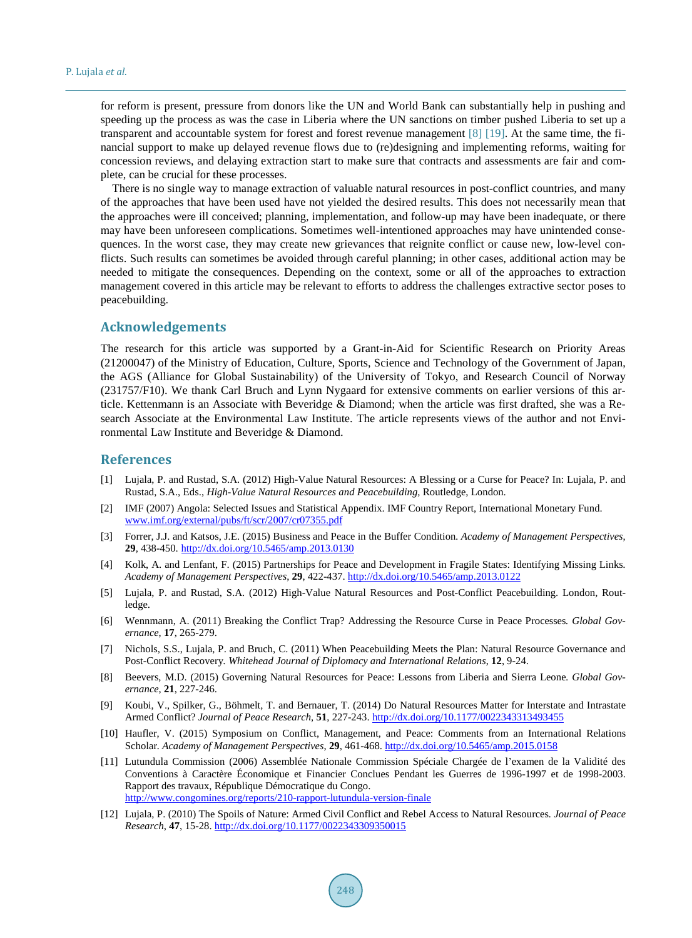for reform is present, pressure from donors like the UN and World Bank can substantially help in pushing and speeding up the process as was the case in Liberia where the UN sanctions on timber pushed Liberia to set up a transparent and accountable system for forest and forest revenue management [\[8\]](#page-9-5) [\[19\].](#page-10-5) At the same time, the financial support to make up delayed revenue flows due to (re)designing and implementing reforms, waiting for concession reviews, and delaying extraction start to make sure that contracts and assessments are fair and complete, can be crucial for these processes.

There is no single way to manage extraction of valuable natural resources in post-conflict countries, and many of the approaches that have been used have not yielded the desired results. This does not necessarily mean that the approaches were ill conceived; planning, implementation, and follow-up may have been inadequate, or there may have been unforeseen complications. Sometimes well-intentioned approaches may have unintended consequences. In the worst case, they may create new grievances that reignite conflict or cause new, low-level conflicts. Such results can sometimes be avoided through careful planning; in other cases, additional action may be needed to mitigate the consequences. Depending on the context, some or all of the approaches to extraction management covered in this article may be relevant to efforts to address the challenges extractive sector poses to peacebuilding.

#### **Acknowledgements**

The research for this article was supported by a Grant-in-Aid for Scientific Research on Priority Areas (21200047) of the Ministry of Education, Culture, Sports, Science and Technology of the Government of Japan, the AGS (Alliance for Global Sustainability) of the University of Tokyo, and Research Council of Norway (231757/F10). We thank Carl Bruch and Lynn Nygaard for extensive comments on earlier versions of this article. Kettenmann is an Associate with Beveridge & Diamond; when the article was first drafted, she was a Research Associate at the Environmental Law Institute. The article represents views of the author and not Environmental Law Institute and Beveridge & Diamond.

# **References**

- <span id="page-9-0"></span>[1] Lujala, P. and Rustad, S.A. (2012) High-Value Natural Resources: A Blessing or a Curse for Peace? In: Lujala, P. and Rustad, S.A., Eds., *High-Value Natural Resources and Peacebuilding*, Routledge, London.
- <span id="page-9-1"></span>[2] IMF (2007) Angola: Selected Issues and Statistical Appendix. IMF Country Report, International Monetary Fund. [www.imf.org/external/pubs/ft/scr/2007/cr07355.pdf](http://www.imf.org/external/pubs/ft/scr/2007/cr07355.pdf)
- <span id="page-9-2"></span>[3] Forrer, J.J. and Katsos, J.E. (2015) Business and Peace in the Buffer Condition*. Academy of Management Perspectives*, **29**, 438-450. <http://dx.doi.org/10.5465/amp.2013.0130>
- [4] Kolk, A. and Lenfant, F. (2015) Partnerships for Peace and Development in Fragile States: Identifying Missing Links*. Academy of Management Perspectives*, **29**, 422-437. <http://dx.doi.org/10.5465/amp.2013.0122>
- <span id="page-9-4"></span>[5] Lujala, P. and Rustad, S.A. (2012) High-Value Natural Resources and Post-Conflict Peacebuilding. London, Routledge.
- [6] Wennmann, A. (2011) Breaking the Conflict Trap? Addressing the Resource Curse in Peace Processes*. Global Governance*, **17**, 265-279.
- <span id="page-9-3"></span>[7] Nichols, S.S., Lujala, P. and Bruch, C. (2011) When Peacebuilding Meets the Plan: Natural Resource Governance and Post-Conflict Recovery*. Whitehead Journal of Diplomacy and International Relations*, **12**, 9-24.
- <span id="page-9-5"></span>[8] Beevers, M.D. (2015) Governing Natural Resources for Peace: Lessons from Liberia and Sierra Leone*. Global Governance*, **21**, 227-246.
- <span id="page-9-8"></span>[9] Koubi, V., Spilker, G., Böhmelt, T. and Bernauer, T. (2014) Do Natural Resources Matter for Interstate and Intrastate Armed Conflict? *Journal of Peace Research*, **51**, 227-243. <http://dx.doi.org/10.1177/0022343313493455>
- <span id="page-9-6"></span>[10] Haufler, V. (2015) Symposium on Conflict, Management, and Peace: Comments from an International Relations Scholar*. Academy of Management Perspectives*, **29**, 461-468[. http://dx.doi.org/10.5465/amp.2015.0158](http://dx.doi.org/10.5465/amp.2015.0158)
- <span id="page-9-7"></span>[11] Lutundula Commission (2006) Assemblée Nationale Commission Spéciale Chargée de l'examen de la Validité des Conventions à Caractère Économique et Financier Conclues Pendant les Guerres de 1996-1997 et de 1998-2003. Rapport des travaux, République Démocratique du Congo. <http://www.congomines.org/reports/210-rapport-lutundula-version-finale>
- <span id="page-9-9"></span>[12] Lujala, P. (2010) The Spoils of Nature: Armed Civil Conflict and Rebel Access to Natural Resources*. Journal of Peace Research*, **47**, 15-28. <http://dx.doi.org/10.1177/0022343309350015>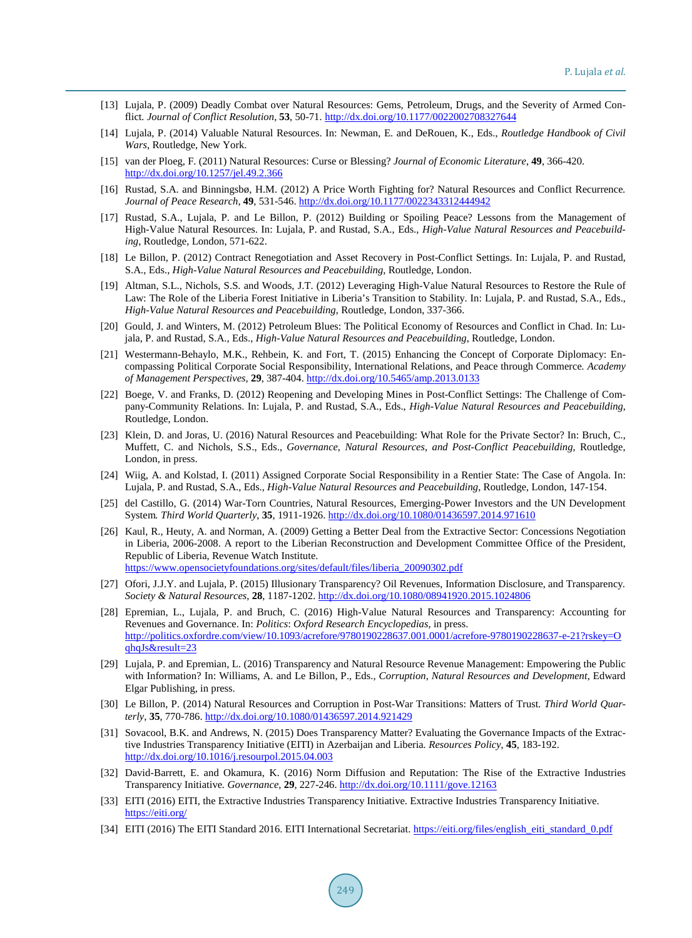- [13] Lujala, P. (2009) Deadly Combat over Natural Resources: Gems, Petroleum, Drugs, and the Severity of Armed Conflict*. Journal of Conflict Resolution*, **53**, 50-71. <http://dx.doi.org/10.1177/0022002708327644>
- <span id="page-10-0"></span>[14] Lujala, P. (2014) Valuable Natural Resources. In: Newman, E. and DeRouen, K., Eds., *Routledge Handbook of Civil Wars*, Routledge, New York.
- <span id="page-10-1"></span>[15] van der Ploeg, F. (2011) Natural Resources: Curse or Blessing? *Journal of Economic Literature*, **49**, 366-420. <http://dx.doi.org/10.1257/jel.49.2.366>
- <span id="page-10-2"></span>[16] Rustad, S.A. and Binningsbø, H.M. (2012) A Price Worth Fighting for? Natural Resources and Conflict Recurrence*. Journal of Peace Research*, **49**, 531-546. <http://dx.doi.org/10.1177/0022343312444942>
- <span id="page-10-3"></span>[17] Rustad, S.A., Lujala, P. and Le Billon, P. (2012) Building or Spoiling Peace? Lessons from the Management of High-Value Natural Resources. In: Lujala, P. and Rustad, S.A., Eds., *High-Value Natural Resources and Peacebuilding*, Routledge, London, 571-622.
- <span id="page-10-4"></span>[18] Le Billon, P. (2012) Contract Renegotiation and Asset Recovery in Post-Conflict Settings. In: Lujala, P. and Rustad, S.A., Eds., *High-Value Natural Resources and Peacebuilding*, Routledge, London.
- <span id="page-10-5"></span>[19] Altman, S.L., Nichols, S.S. and Woods, J.T. (2012) Leveraging High-Value Natural Resources to Restore the Rule of Law: The Role of the Liberia Forest Initiative in Liberia's Transition to Stability. In: Lujala, P. and Rustad, S.A., Eds., *High-Value Natural Resources and Peacebuilding*, Routledge, London, 337-366.
- <span id="page-10-6"></span>[20] Gould, J. and Winters, M. (2012) Petroleum Blues: The Political Economy of Resources and Conflict in Chad. In: Lujala, P. and Rustad, S.A., Eds., *High-Value Natural Resources and Peacebuilding*, Routledge, London.
- <span id="page-10-7"></span>[21] Westermann-Behaylo, M.K., Rehbein, K. and Fort, T. (2015) Enhancing the Concept of Corporate Diplomacy: Encompassing Political Corporate Social Responsibility, International Relations, and Peace through Commerce*. Academy of Management Perspectives*, **29**, 387-404. <http://dx.doi.org/10.5465/amp.2013.0133>
- <span id="page-10-8"></span>[22] Boege, V. and Franks, D. (2012) Reopening and Developing Mines in Post-Conflict Settings: The Challenge of Company-Community Relations. In: Lujala, P. and Rustad, S.A., Eds., *High-Value Natural Resources and Peacebuilding*, Routledge, London.
- <span id="page-10-9"></span>[23] Klein, D. and Joras, U. (2016) Natural Resources and Peacebuilding: What Role for the Private Sector? In: Bruch, C., Muffett, C. and Nichols, S.S., Eds., *Governance*, *Natural Resources*, *and Post-Conflict Peacebuilding*, Routledge, London, in press.
- <span id="page-10-10"></span>[24] Wiig, A. and Kolstad, I. (2011) Assigned Corporate Social Responsibility in a Rentier State: The Case of Angola. In: Lujala, P. and Rustad, S.A., Eds., *High-Value Natural Resources and Peacebuilding*, Routledge, London, 147-154.
- <span id="page-10-11"></span>[25] del Castillo, G. (2014) War-Torn Countries, Natural Resources, Emerging-Power Investors and the UN Development System*. Third World Quarterly*, **35**, 1911-1926. <http://dx.doi.org/10.1080/01436597.2014.971610>
- <span id="page-10-12"></span>[26] Kaul, R., Heuty, A. and Norman, A. (2009) Getting a Better Deal from the Extractive Sector: Concessions Negotiation in Liberia, 2006-2008. A report to the Liberian Reconstruction and Development Committee Office of the President, Republic of Liberia, Revenue Watch Institute. [https://www.opensocietyfoundations.org/sites/default/files/liberia\\_20090302.pdf](https://www.opensocietyfoundations.org/sites/default/files/liberia_20090302.pdf)
- <span id="page-10-13"></span>[27] Ofori, J.J.Y. and Lujala, P. (2015) Illusionary Transparency? Oil Revenues, Information Disclosure, and Transparency*. Society & Natural Resources*, **28**, 1187-1202.<http://dx.doi.org/10.1080/08941920.2015.1024806>
- [28] Epremian, L., Lujala, P. and Bruch, C. (2016) High-Value Natural Resources and Transparency: Accounting for Revenues and Governance. In: *Politics*: *Oxford Research Encyclopedias*, in press. [http://politics.oxfordre.com/view/10.1093/acrefore/9780190228637.001.0001/acrefore-9780190228637-e-21?rskey=O](http://politics.oxfordre.com/view/10.1093/acrefore/9780190228637.001.0001/acrefore-9780190228637-e-21?rskey=OqhqJs&result=23) [qhqJs&result=23](http://politics.oxfordre.com/view/10.1093/acrefore/9780190228637.001.0001/acrefore-9780190228637-e-21?rskey=OqhqJs&result=23)
- <span id="page-10-14"></span>[29] Lujala, P. and Epremian, L. (2016) Transparency and Natural Resource Revenue Management: Empowering the Public with Information? In: Williams, A. and Le Billon, P., Eds., *Corruption*, *Natural Resources and Development*, Edward Elgar Publishing, in press.
- <span id="page-10-15"></span>[30] Le Billon, P. (2014) Natural Resources and Corruption in Post-War Transitions: Matters of Trust*. Third World Quarterly*, **35**, 770-786. <http://dx.doi.org/10.1080/01436597.2014.921429>
- <span id="page-10-16"></span>[31] Sovacool, B.K. and Andrews, N. (2015) Does Transparency Matter? Evaluating the Governance Impacts of the Extractive Industries Transparency Initiative (EITI) in Azerbaijan and Liberia*. Resources Policy*, **45**, 183-192. <http://dx.doi.org/10.1016/j.resourpol.2015.04.003>
- <span id="page-10-17"></span>[32] David-Barrett, E. and Okamura, K. (2016) Norm Diffusion and Reputation: The Rise of the Extractive Industries Transparency Initiative*. Governance*, **29**, 227-246. <http://dx.doi.org/10.1111/gove.12163>
- <span id="page-10-18"></span>[33] EITI (2016) EITI, the Extractive Industries Transparency Initiative. Extractive Industries Transparency Initiative. <https://eiti.org/>
- <span id="page-10-19"></span>[34] EITI (2016) The EITI Standard 2016. EITI International Secretariat. [https://eiti.org/files/english\\_eiti\\_standard\\_0.pdf](https://eiti.org/files/english_eiti_standard_0.pdf)